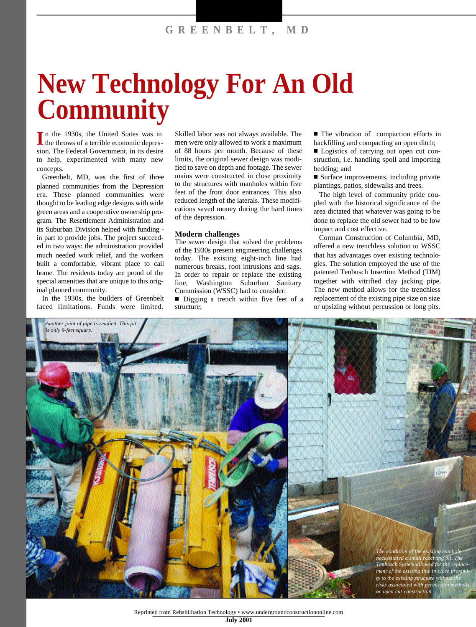## **New Technology For An Old Community**

**I** n the 1930s, the United States was in the throws of a terrible economic depression. The Federal Government, in its desire to help, experimented with many new concepts.

Greenbelt, MD, was the first of three planned communities from the Depression era. These planned communities were thought to be leading edge designs with wide green areas and a cooperative ownership program. The Resettlement Administration and its Suburban Division helped with funding in part to provide jobs. The project succeeded in two ways: the administration provided much needed work relief, and the workers built a comfortable, vibrant place to call home. The residents today are proud of the special amenities that are unique to this original planned community.

In the 1930s, the builders of Greenbelt faced limitations. Funds were limited.

Skilled labor was not always available. The men were only allowed to work a maximum of 88 hours per month. Because of these limits, the original sewer design was modified to save on depth and footage. The sewer mains were constructed in close proximity to the structures with manholes within five feet of the front door entrances. This also reduced length of the laterals. These modifications saved money during the hard times of the depression.

## **Modern challenges**

The sewer design that solved the problems of the 1930s present engineering challenges today. The existing eight-inch line had numerous breaks, root intrusions and sags. In order to repair or replace the existing line, Washington Suburban Sanitary Commission (WSSC) had to consider:

■ Digging a trench within five feet of a structure;

■ The vibration of compaction efforts in backfilling and compacting an open ditch;

■ Logistics of carrying out open cut construction, i.e. handling spoil and importing bedding; and

■ Surface improvements, including private plantings, patios, sidewalks and trees.

The high level of community pride coupled with the historical significance of the area dictated that whatever was going to be done to replace the old sewer had to be low impact and cost effective.

Corman Construction of Columbia, MD, offered a new trenchless solution to WSSC that has advantages over existing technologies. The solution employed the use of the patented Tenbusch Insertion Method (TIM) together with vitrified clay jacking pipe. The new method allows for the trenchless replacement of the existing pipe size on size or upsizing without percussion or long pits.



Reprinted from Rehabilitation Technology • www.undergroundconstructiononline.com